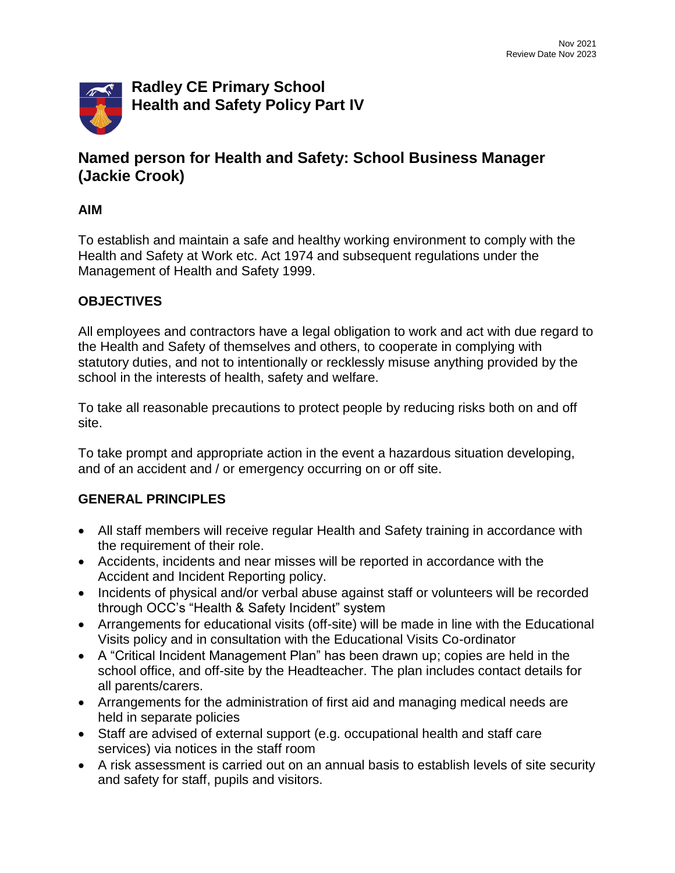

# **Named person for Health and Safety: School Business Manager (Jackie Crook)**

#### **AIM**

To establish and maintain a safe and healthy working environment to comply with the Health and Safety at Work etc. Act 1974 and subsequent regulations under the Management of Health and Safety 1999.

#### **OBJECTIVES**

All employees and contractors have a legal obligation to work and act with due regard to the Health and Safety of themselves and others, to cooperate in complying with statutory duties, and not to intentionally or recklessly misuse anything provided by the school in the interests of health, safety and welfare.

To take all reasonable precautions to protect people by reducing risks both on and off site.

To take prompt and appropriate action in the event a hazardous situation developing, and of an accident and / or emergency occurring on or off site.

#### **GENERAL PRINCIPLES**

- All staff members will receive regular Health and Safety training in accordance with the requirement of their role.
- Accidents, incidents and near misses will be reported in accordance with the Accident and Incident Reporting policy.
- Incidents of physical and/or verbal abuse against staff or volunteers will be recorded through OCC's "Health & Safety Incident" system
- Arrangements for educational visits (off-site) will be made in line with the Educational Visits policy and in consultation with the Educational Visits Co-ordinator
- A "Critical Incident Management Plan" has been drawn up; copies are held in the school office, and off-site by the Headteacher. The plan includes contact details for all parents/carers.
- Arrangements for the administration of first aid and managing medical needs are held in separate policies
- Staff are advised of external support (e.g. occupational health and staff care services) via notices in the staff room
- A risk assessment is carried out on an annual basis to establish levels of site security and safety for staff, pupils and visitors.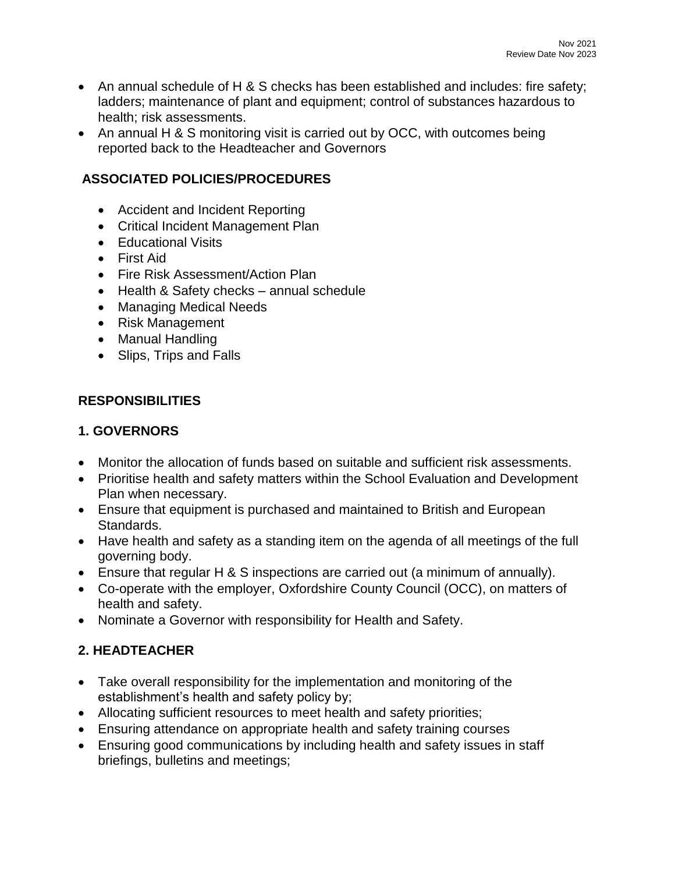- An annual schedule of H & S checks has been established and includes: fire safety; ladders; maintenance of plant and equipment; control of substances hazardous to health; risk assessments.
- An annual H & S monitoring visit is carried out by OCC, with outcomes being reported back to the Headteacher and Governors

## **ASSOCIATED POLICIES/PROCEDURES**

- Accident and Incident Reporting
- Critical Incident Management Plan
- Educational Visits
- First Aid
- Fire Risk Assessment/Action Plan
- Health & Safety checks annual schedule
- Managing Medical Needs
- Risk Management
- Manual Handling
- Slips, Trips and Falls

### **RESPONSIBILITIES**

### **1. GOVERNORS**

- Monitor the allocation of funds based on suitable and sufficient risk assessments.
- Prioritise health and safety matters within the School Evaluation and Development Plan when necessary.
- Ensure that equipment is purchased and maintained to British and European Standards.
- Have health and safety as a standing item on the agenda of all meetings of the full governing body.
- Ensure that regular H & S inspections are carried out (a minimum of annually).
- Co-operate with the employer, Oxfordshire County Council (OCC), on matters of health and safety.
- Nominate a Governor with responsibility for Health and Safety.

### **2. HEADTEACHER**

- Take overall responsibility for the implementation and monitoring of the establishment's health and safety policy by;
- Allocating sufficient resources to meet health and safety priorities;
- Ensuring attendance on appropriate health and safety training courses
- Ensuring good communications by including health and safety issues in staff briefings, bulletins and meetings;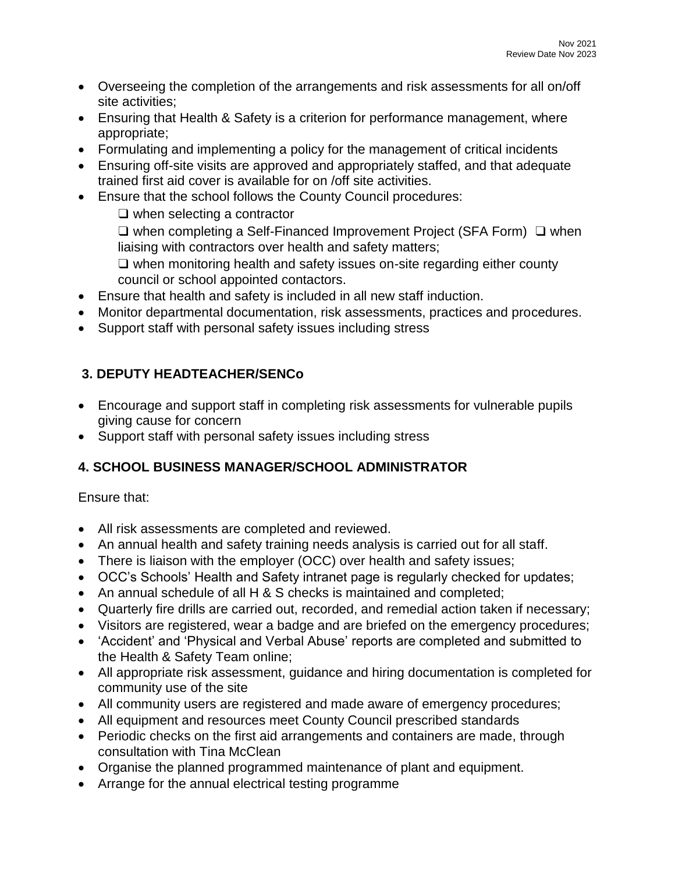- Overseeing the completion of the arrangements and risk assessments for all on/off site activities;
- Ensuring that Health & Safety is a criterion for performance management, where appropriate;
- Formulating and implementing a policy for the management of critical incidents
- Ensuring off-site visits are approved and appropriately staffed, and that adequate trained first aid cover is available for on /off site activities.
- Ensure that the school follows the County Council procedures:

❑ when selecting a contractor

❑ when completing a Self-Financed Improvement Project (SFA Form) ❑ when liaising with contractors over health and safety matters;

❑ when monitoring health and safety issues on-site regarding either county council or school appointed contactors.

- Ensure that health and safety is included in all new staff induction.
- Monitor departmental documentation, risk assessments, practices and procedures.
- Support staff with personal safety issues including stress

# **3. DEPUTY HEADTEACHER/SENCo**

- Encourage and support staff in completing risk assessments for vulnerable pupils giving cause for concern
- Support staff with personal safety issues including stress

# **4. SCHOOL BUSINESS MANAGER/SCHOOL ADMINISTRATOR**

Ensure that:

- All risk assessments are completed and reviewed.
- An annual health and safety training needs analysis is carried out for all staff.
- There is liaison with the employer (OCC) over health and safety issues;
- OCC's Schools' Health and Safety intranet page is regularly checked for updates;
- An annual schedule of all H & S checks is maintained and completed;
- Quarterly fire drills are carried out, recorded, and remedial action taken if necessary;
- Visitors are registered, wear a badge and are briefed on the emergency procedures;
- 'Accident' and 'Physical and Verbal Abuse' reports are completed and submitted to the Health & Safety Team online;
- All appropriate risk assessment, guidance and hiring documentation is completed for community use of the site
- All community users are registered and made aware of emergency procedures;
- All equipment and resources meet County Council prescribed standards
- Periodic checks on the first aid arrangements and containers are made, through consultation with Tina McClean
- Organise the planned programmed maintenance of plant and equipment.
- Arrange for the annual electrical testing programme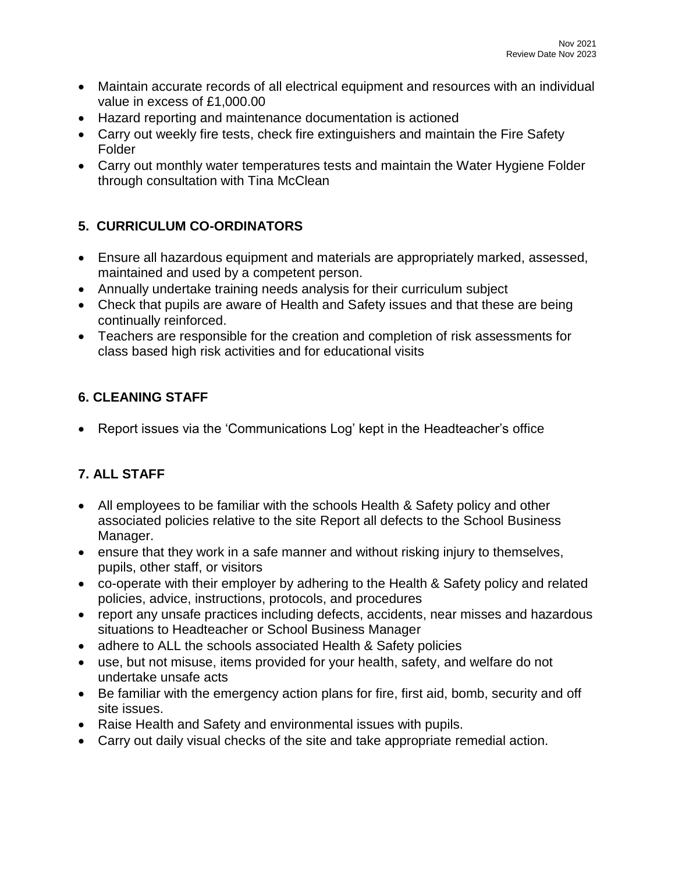- Maintain accurate records of all electrical equipment and resources with an individual value in excess of £1,000.00
- Hazard reporting and maintenance documentation is actioned
- Carry out weekly fire tests, check fire extinguishers and maintain the Fire Safety Folder
- Carry out monthly water temperatures tests and maintain the Water Hygiene Folder through consultation with Tina McClean

# **5. CURRICULUM CO-ORDINATORS**

- Ensure all hazardous equipment and materials are appropriately marked, assessed, maintained and used by a competent person.
- Annually undertake training needs analysis for their curriculum subject
- Check that pupils are aware of Health and Safety issues and that these are being continually reinforced.
- Teachers are responsible for the creation and completion of risk assessments for class based high risk activities and for educational visits

### **6. CLEANING STAFF**

• Report issues via the 'Communications Log' kept in the Headteacher's office

# **7. ALL STAFF**

- All employees to be familiar with the schools Health & Safety policy and other associated policies relative to the site Report all defects to the School Business Manager.
- ensure that they work in a safe manner and without risking injury to themselves, pupils, other staff, or visitors
- co-operate with their employer by adhering to the Health & Safety policy and related policies, advice, instructions, protocols, and procedures
- report any unsafe practices including defects, accidents, near misses and hazardous situations to Headteacher or School Business Manager
- adhere to ALL the schools associated Health & Safety policies
- use, but not misuse, items provided for your health, safety, and welfare do not undertake unsafe acts
- Be familiar with the emergency action plans for fire, first aid, bomb, security and off site issues.
- Raise Health and Safety and environmental issues with pupils.
- Carry out daily visual checks of the site and take appropriate remedial action.